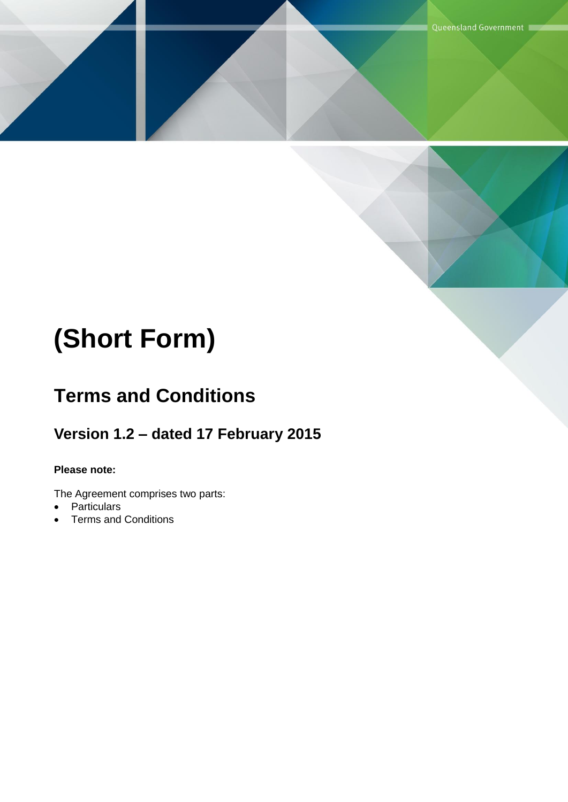# **(Short Form)**

# **Terms and Conditions**

### **Version 1.2 – dated 17 February 2015**

#### **Please note:**

The Agreement comprises two parts:

- Particulars
- Terms and Conditions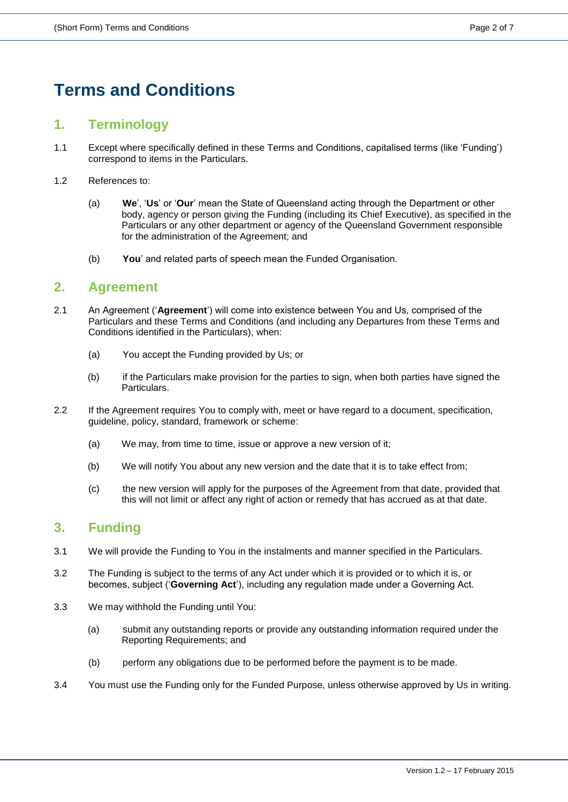## **Terms and Conditions**

#### **1. Terminology**

- 1.1 Except where specifically defined in these Terms and Conditions, capitalised terms (like 'Funding') correspond to items in the Particulars.
- 1.2 References to:
	- (a) **We**', '**Us**' or '**Our**' mean the State of Queensland acting through the Department or other body, agency or person giving the Funding (including its Chief Executive), as specified in the Particulars or any other department or agency of the Queensland Government responsible for the administration of the Agreement; and
	- (b) **You**' and related parts of speech mean the Funded Organisation.

#### **2. Agreement**

- 2.1 An Agreement ('**Agreement**') will come into existence between You and Us, comprised of the Particulars and these Terms and Conditions (and including any Departures from these Terms and Conditions identified in the Particulars), when:
	- (a) You accept the Funding provided by Us; or
	- (b) if the Particulars make provision for the parties to sign, when both parties have signed the Particulars.
- 2.2 If the Agreement requires You to comply with, meet or have regard to a document, specification, guideline, policy, standard, framework or scheme:
	- (a) We may, from time to time, issue or approve a new version of it;
	- (b) We will notify You about any new version and the date that it is to take effect from;
	- (c) the new version will apply for the purposes of the Agreement from that date, provided that this will not limit or affect any right of action or remedy that has accrued as at that date.

#### **3. Funding**

- 3.1 We will provide the Funding to You in the instalments and manner specified in the Particulars.
- 3.2 The Funding is subject to the terms of any Act under which it is provided or to which it is, or becomes, subject ('**Governing Act**'), including any regulation made under a Governing Act.
- 3.3 We may withhold the Funding until You:
	- (a) submit any outstanding reports or provide any outstanding information required under the Reporting Requirements; and
	- (b) perform any obligations due to be performed before the payment is to be made.
- 3.4 You must use the Funding only for the Funded Purpose, unless otherwise approved by Us in writing.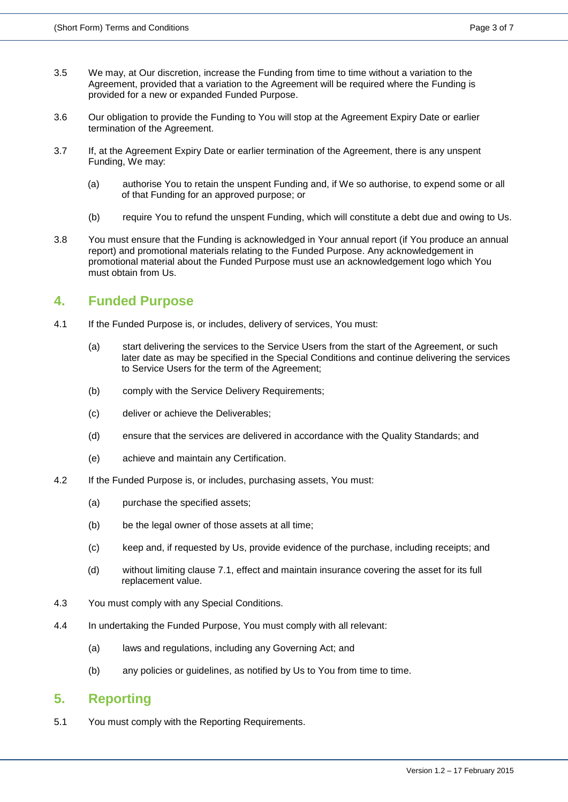- 3.5 We may, at Our discretion, increase the Funding from time to time without a variation to the Agreement, provided that a variation to the Agreement will be required where the Funding is provided for a new or expanded Funded Purpose.
- 3.6 Our obligation to provide the Funding to You will stop at the Agreement Expiry Date or earlier termination of the Agreement.
- 3.7 If, at the Agreement Expiry Date or earlier termination of the Agreement, there is any unspent Funding, We may:
	- (a) authorise You to retain the unspent Funding and, if We so authorise, to expend some or all of that Funding for an approved purpose; or
	- (b) require You to refund the unspent Funding, which will constitute a debt due and owing to Us.
- 3.8 You must ensure that the Funding is acknowledged in Your annual report (if You produce an annual report) and promotional materials relating to the Funded Purpose. Any acknowledgement in promotional material about the Funded Purpose must use an acknowledgement logo which You must obtain from Us.

#### **4. Funded Purpose**

- 4.1 If the Funded Purpose is, or includes, delivery of services, You must:
	- (a) start delivering the services to the Service Users from the start of the Agreement, or such later date as may be specified in the Special Conditions and continue delivering the services to Service Users for the term of the Agreement;
	- (b) comply with the Service Delivery Requirements;
	- (c) deliver or achieve the Deliverables;
	- (d) ensure that the services are delivered in accordance with the Quality Standards; and
	- (e) achieve and maintain any Certification.
- 4.2 If the Funded Purpose is, or includes, purchasing assets, You must:
	- (a) purchase the specified assets;
	- (b) be the legal owner of those assets at all time;
	- (c) keep and, if requested by Us, provide evidence of the purchase, including receipts; and
	- (d) without limiting clause 7.1, effect and maintain insurance covering the asset for its full replacement value.
- 4.3 You must comply with any Special Conditions.
- 4.4 In undertaking the Funded Purpose, You must comply with all relevant:
	- (a) laws and regulations, including any Governing Act; and
	- (b) any policies or guidelines, as notified by Us to You from time to time.

#### **5. Reporting**

5.1 You must comply with the Reporting Requirements.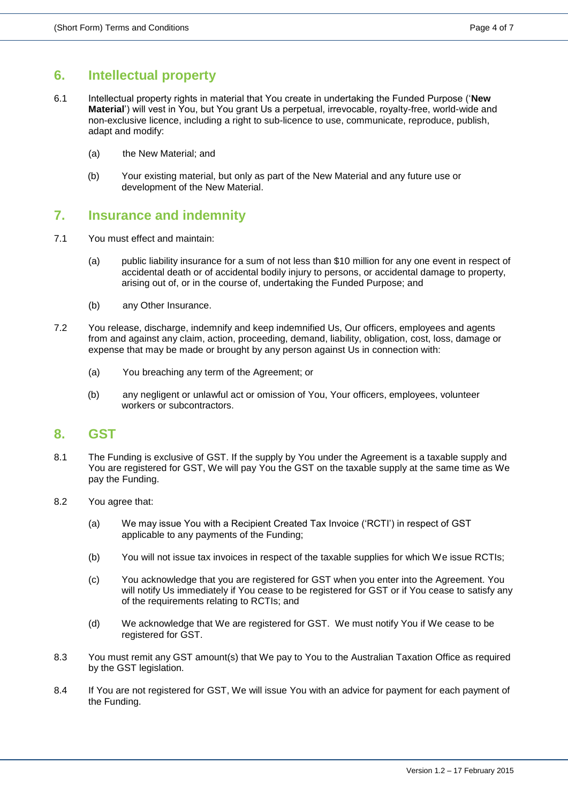#### **6. Intellectual property**

- 6.1 Intellectual property rights in material that You create in undertaking the Funded Purpose ('**New Material**') will vest in You, but You grant Us a perpetual, irrevocable, royalty-free, world-wide and non-exclusive licence, including a right to sub-licence to use, communicate, reproduce, publish, adapt and modify:
	- (a) the New Material; and
	- (b) Your existing material, but only as part of the New Material and any future use or development of the New Material.

#### **7. Insurance and indemnity**

- 7.1 You must effect and maintain:
	- (a) public liability insurance for a sum of not less than \$10 million for any one event in respect of accidental death or of accidental bodily injury to persons, or accidental damage to property, arising out of, or in the course of, undertaking the Funded Purpose; and
	- (b) any Other Insurance.
- 7.2 You release, discharge, indemnify and keep indemnified Us, Our officers, employees and agents from and against any claim, action, proceeding, demand, liability, obligation, cost, loss, damage or expense that may be made or brought by any person against Us in connection with:
	- (a) You breaching any term of the Agreement; or
	- (b) any negligent or unlawful act or omission of You, Your officers, employees, volunteer workers or subcontractors.

#### **8. GST**

- 8.1 The Funding is exclusive of GST. If the supply by You under the Agreement is a taxable supply and You are registered for GST, We will pay You the GST on the taxable supply at the same time as We pay the Funding.
- 8.2 You agree that:
	- (a) We may issue You with a Recipient Created Tax Invoice ('RCTI') in respect of GST applicable to any payments of the Funding;
	- (b) You will not issue tax invoices in respect of the taxable supplies for which We issue RCTIs;
	- (c) You acknowledge that you are registered for GST when you enter into the Agreement. You will notify Us immediately if You cease to be registered for GST or if You cease to satisfy any of the requirements relating to RCTIs; and
	- (d) We acknowledge that We are registered for GST. We must notify You if We cease to be registered for GST.
- 8.3 You must remit any GST amount(s) that We pay to You to the Australian Taxation Office as required by the GST legislation.
- 8.4 If You are not registered for GST, We will issue You with an advice for payment for each payment of the Funding.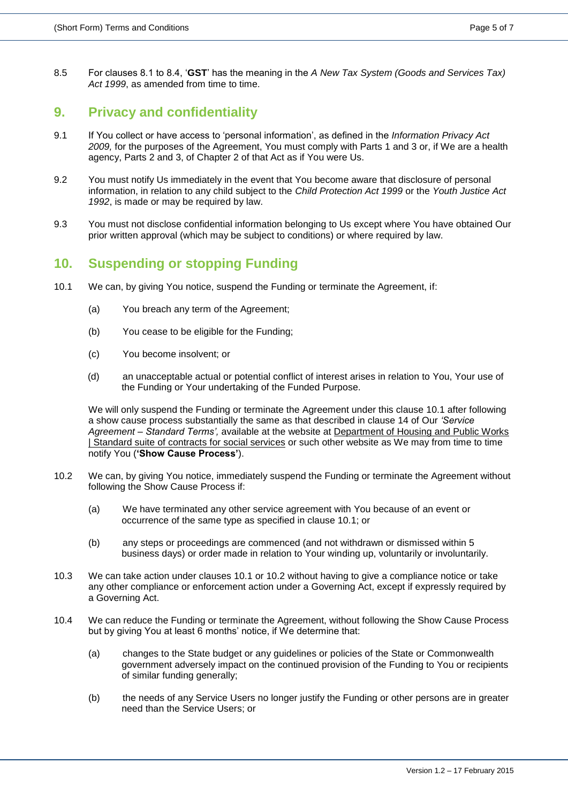8.5 For clauses 8.1 to 8.4, '**GST**' has the meaning in the *A New Tax System (Goods and Services Tax)*  Act 1999, as amended from time to time.

#### **9. Privacy and confidentiality**

- 9.1 If You collect or have access to 'personal information', as defined in the *Information Privacy Act 2009,* for the purposes of the Agreement, You must comply with Parts 1 and 3 or, if We are a health agency, Parts 2 and 3, of Chapter 2 of that Act as if You were Us.
- 9.2 You must notify Us immediately in the event that You become aware that disclosure of personal information, in relation to any child subject to the *Child Protection Act 1999* or the *Youth Justice Act 1992*, is made or may be required by law.
- 9.3 You must not disclose confidential information belonging to Us except where You have obtained Our prior written approval (which may be subject to conditions) or where required by law.

#### **10. Suspending or stopping Funding**

- 10.1 We can, by giving You notice, suspend the Funding or terminate the Agreement, if:
	- (a) You breach any term of the Agreement;
	- (b) You cease to be eligible for the Funding;
	- (c) You become insolvent; or
	- (d) an unacceptable actual or potential conflict of interest arises in relation to You, Your use of the Funding or Your undertaking of the Funded Purpose.

We will only suspend the Funding or terminate the Agreement under this clause 10.1 after following a show cause process substantially the same as that described in clause 14 of Our *'Service Agreement – Standard Terms',* available at the website at [Department of Housing and Public Works](http://www.hpw.qld.gov.au/Procurement/Buyers/HowToBuy/GovernmentTermsConditions/Pages/Standard-suite-of-contracts-for-social-services.aspx)  [| Standard suite of contracts for social services](http://www.hpw.qld.gov.au/Procurement/Buyers/HowToBuy/GovernmentTermsConditions/Pages/Standard-suite-of-contracts-for-social-services.aspx) or such other website as We may from time to time notify You (**'Show Cause Process'**).

- 10.2 We can, by giving You notice, immediately suspend the Funding or terminate the Agreement without following the Show Cause Process if:
	- (a) We have terminated any other service agreement with You because of an event or occurrence of the same type as specified in clause 10.1; or
	- (b) any steps or proceedings are commenced (and not withdrawn or dismissed within 5 business days) or order made in relation to Your winding up, voluntarily or involuntarily.
- 10.3 We can take action under clauses 10.1 or 10.2 without having to give a compliance notice or take any other compliance or enforcement action under a Governing Act, except if expressly required by a Governing Act.
- 10.4 We can reduce the Funding or terminate the Agreement, without following the Show Cause Process but by giving You at least 6 months' notice, if We determine that:
	- (a) changes to the State budget or any guidelines or policies of the State or Commonwealth government adversely impact on the continued provision of the Funding to You or recipients of similar funding generally;
	- (b) the needs of any Service Users no longer justify the Funding or other persons are in greater need than the Service Users; or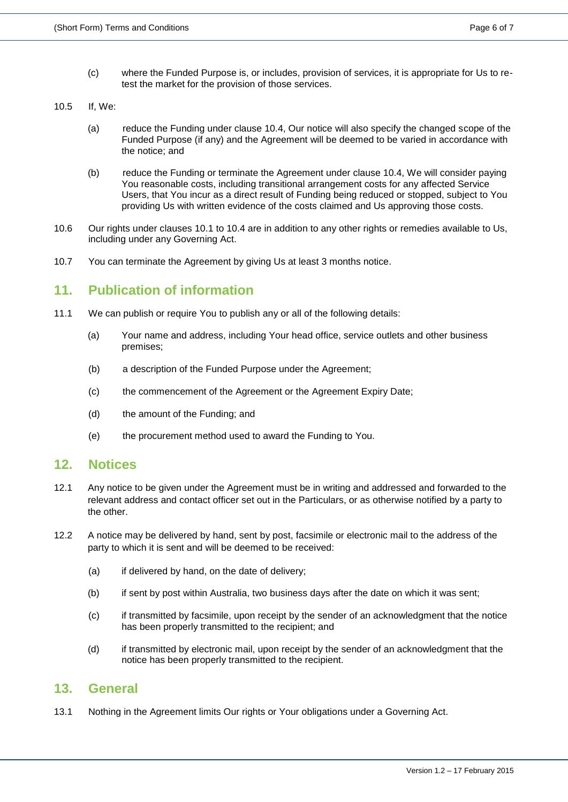- (c) where the Funded Purpose is, or includes, provision of services, it is appropriate for Us to retest the market for the provision of those services.
- 10.5 If, We:
	- (a) reduce the Funding under clause 10.4, Our notice will also specify the changed scope of the Funded Purpose (if any) and the Agreement will be deemed to be varied in accordance with the notice; and
	- (b) reduce the Funding or terminate the Agreement under clause 10.4, We will consider paying You reasonable costs, including transitional arrangement costs for any affected Service Users, that You incur as a direct result of Funding being reduced or stopped, subject to You providing Us with written evidence of the costs claimed and Us approving those costs.
- 10.6 Our rights under clauses 10.1 to 10.4 are in addition to any other rights or remedies available to Us, including under any Governing Act.
- 10.7 You can terminate the Agreement by giving Us at least 3 months notice.

#### **11. Publication of information**

- 11.1 We can publish or require You to publish any or all of the following details:
	- (a) Your name and address, including Your head office, service outlets and other business premises;
	- (b) a description of the Funded Purpose under the Agreement;
	- (c) the commencement of the Agreement or the Agreement Expiry Date;
	- (d) the amount of the Funding; and
	- (e) the procurement method used to award the Funding to You.

#### **12. Notices**

- 12.1 Any notice to be given under the Agreement must be in writing and addressed and forwarded to the relevant address and contact officer set out in the Particulars, or as otherwise notified by a party to the other.
- 12.2 A notice may be delivered by hand, sent by post, facsimile or electronic mail to the address of the party to which it is sent and will be deemed to be received:
	- (a) if delivered by hand, on the date of delivery;
	- (b) if sent by post within Australia, two business days after the date on which it was sent;
	- (c) if transmitted by facsimile, upon receipt by the sender of an acknowledgment that the notice has been properly transmitted to the recipient; and
	- (d) if transmitted by electronic mail, upon receipt by the sender of an acknowledgment that the notice has been properly transmitted to the recipient.

#### **13. General**

13.1 Nothing in the Agreement limits Our rights or Your obligations under a Governing Act.